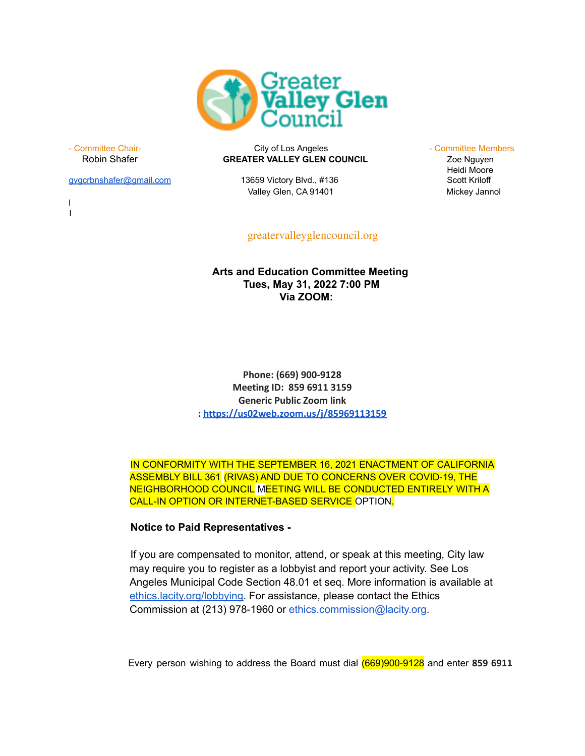

- Committee Chair- **Chair-** Committee Chair- Committee Members City of Los Angeles **- Committee Members** 

l l

[gvgcrbnshafer@gmail.com](mailto:gvgcrbnshafer@gmail.com) 13659 Victory Blvd., #136 Scott Kriloff

Robin Shafer **GREATER VALLEY GLEN COUNCIL** Zoe Nguyen

Valley Glen, CA 91401 Mickey Jannol

Heidi Moore

greatervalleyglencouncil.org

## **Arts and Education Committee Meeting Tues, May 31, 2022 7:00 PM Via ZOOM:**

**Phone: (669) 900-9128 Meeting ID: 859 6911 3159 Generic Public Zoom link : <https://us02web.zoom.us/j/85969113159>**

IN CONFORMITY WITH THE SEPTEMBER 16, 2021 ENACTMENT OF CALIFORNIA ASSEMBLY BILL 361 (RIVAS) AND DUE TO CONCERNS OVER COVID-19, THE NEIGHBORHOOD COUNCIL MEETING WILL BE CONDUCTED ENTIRELY WITH A CALL-IN OPTION OR INTERNET-BASED SERVICE OPTION.

## **Notice to Paid Representatives -**

If you are compensated to monitor, attend, or speak at this meeting, City law may require you to register as a lobbyist and report your activity. See Los Angeles Municipal Code Section 48.01 et seq. More information is available at [ethics.lacity.org/lobbying.](http://ethics.lacity.org/lobbying) For assistance, please contact the Ethics Commission at (213) 978-1960 or ethics.commission@lacity.org.

Every person wishing to address the Board must dial (669)900-9128 and enter **859 6911**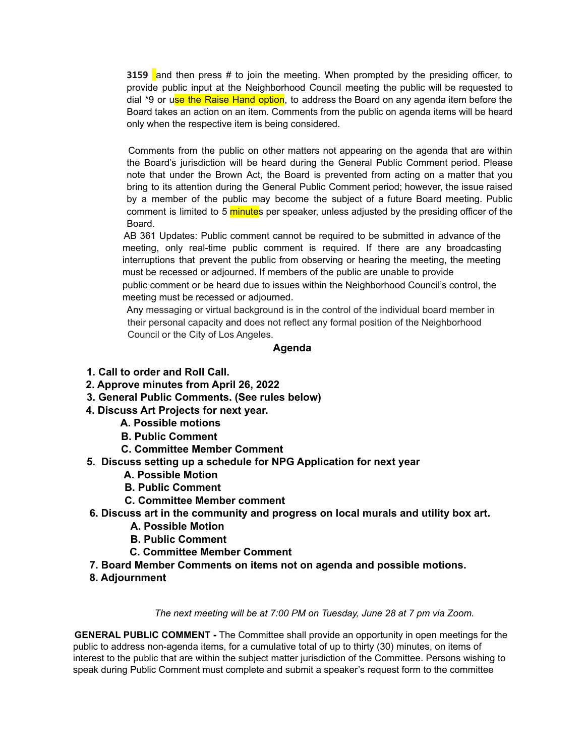**3159** and then press # to join the meeting. When prompted by the presiding officer, to provide public input at the Neighborhood Council meeting the public will be requested to dial \*9 or use the Raise Hand option, to address the Board on any agenda item before the Board takes an action on an item. Comments from the public on agenda items will be heard only when the respective item is being considered.

Comments from the public on other matters not appearing on the agenda that are within the Board's jurisdiction will be heard during the General Public Comment period. Please note that under the Brown Act, the Board is prevented from acting on a matter that you bring to its attention during the General Public Comment period; however, the issue raised by a member of the public may become the subject of a future Board meeting. Public comment is limited to 5 minutes per speaker, unless adjusted by the presiding officer of the Board.

AB 361 Updates: Public comment cannot be required to be submitted in advance of the meeting, only real-time public comment is required. If there are any broadcasting interruptions that prevent the public from observing or hearing the meeting, the meeting must be recessed or adjourned. If members of the public are unable to provide public comment or be heard due to issues within the Neighborhood Council's control, the meeting must be recessed or adjourned.

Any messaging or virtual background is in the control of the individual board member in their personal capacity and does not reflect any formal position of the Neighborhood Council or the City of Los Angeles.

## **Agenda**

- **1. Call to order and Roll Call.**
- **2. Approve minutes from April 26, 2022**
- **3. General Public Comments. (See rules below)**
- **4. Discuss Art Projects for next year.**
	- **A. Possible motions**
	- **B. Public Comment**
	- **C. Committee Member Comment**
- **5. Discuss setting up a schedule for NPG Application for next year**
	- **A. Possible Motion**
	- **B. Public Comment**
	- **C. Committee Member comment**
- **6. Discuss art in the community and progress on local murals and utility box art.**
	- **A. Possible Motion**
	- **B. Public Comment**
	- **C. Committee Member Comment**
- **7. Board Member Comments on items not on agenda and possible motions.**
- **8. Adjournment**

*The next meeting will be at 7:00 PM on Tuesday, June 28 at 7 pm via Zoom.*

**GENERAL PUBLIC COMMENT -** The Committee shall provide an opportunity in open meetings for the public to address non-agenda items, for a cumulative total of up to thirty (30) minutes, on items of interest to the public that are within the subject matter jurisdiction of the Committee. Persons wishing to speak during Public Comment must complete and submit a speaker's request form to the committee